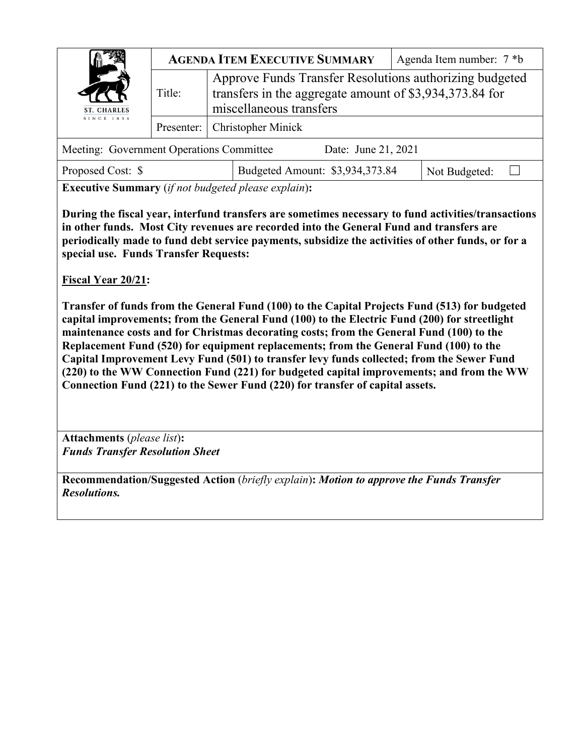|                                          | <b>AGENDA ITEM EXECUTIVE SUMMARY</b> |                                                                                                                                               | Agenda Item number: 7 *b |  |
|------------------------------------------|--------------------------------------|-----------------------------------------------------------------------------------------------------------------------------------------------|--------------------------|--|
| ST. CHARLES                              | Title:                               | Approve Funds Transfer Resolutions authorizing budgeted<br>transfers in the aggregate amount of \$3,934,373.84 for<br>miscellaneous transfers |                          |  |
| SINCE 1834                               |                                      | Presenter: Christopher Minick                                                                                                                 |                          |  |
| Meeting: Government Operations Committee |                                      | Date: June 21, 2021                                                                                                                           |                          |  |

| Proposed Cost: \$ | Budgeted Amount: \$3,934,373.84 | Not Budgeted: |  |
|-------------------|---------------------------------|---------------|--|
|                   |                                 |               |  |

**Executive Summary** (*if not budgeted please explain*)**:**

**During the fiscal year, interfund transfers are sometimes necessary to fund activities/transactions in other funds. Most City revenues are recorded into the General Fund and transfers are periodically made to fund debt service payments, subsidize the activities of other funds, or for a special use. Funds Transfer Requests:**

**Fiscal Year 20/21:** 

**Transfer of funds from the General Fund (100) to the Capital Projects Fund (513) for budgeted capital improvements; from the General Fund (100) to the Electric Fund (200) for streetlight maintenance costs and for Christmas decorating costs; from the General Fund (100) to the Replacement Fund (520) for equipment replacements; from the General Fund (100) to the Capital Improvement Levy Fund (501) to transfer levy funds collected; from the Sewer Fund (220) to the WW Connection Fund (221) for budgeted capital improvements; and from the WW Connection Fund (221) to the Sewer Fund (220) for transfer of capital assets.**

**Attachments** (*please list*)**:**  *Funds Transfer Resolution Sheet*

**Recommendation/Suggested Action** (*briefly explain*)**:** *Motion to approve the Funds Transfer Resolutions.*